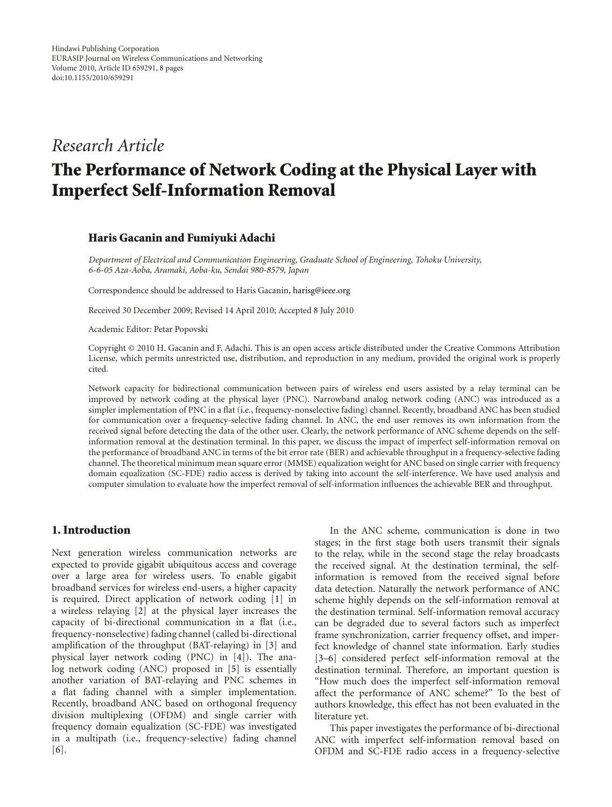## *Research Article*

# **The Performance of Network Coding at the Physical Layer with Imperfect Self-Information Removal**

#### **Haris Gacanin and Fumiyuki Adachi**

*Department of Electrical and Communication Engineering, Graduate School of Engineering, Tohoku University, 6-6-05 Aza-Aoba, Aramaki, Aoba-ku, Sendai 980-8579, Japan*

Correspondence should be addressed to Haris Gacanin, harisg@ieee.org

Received 30 December 2009; Revised 14 April 2010; Accepted 8 July 2010

Academic Editor: Petar Popovski

Copyright © 2010 H. Gacanin and F. Adachi. This is an open access article distributed under the Creative Commons Attribution License, which permits unrestricted use, distribution, and reproduction in any medium, provided the original work is properly cited.

Network capacity for bidirectional communication between pairs of wireless end users assisted by a relay terminal can be improved by network coding at the physical layer (PNC). Narrowband analog network coding (ANC) was introduced as a simpler implementation of PNC in a flat (i.e., frequency-nonselective fading) channel. Recently, broadband ANC has been studied for communication over a frequency-selective fading channel. In ANC, the end user removes its own information from the received signal before detecting the data of the other user. Clearly, the network performance of ANC scheme depends on the selfinformation removal at the destination terminal. In this paper, we discuss the impact of imperfect self-information removal on the performance of broadband ANC in terms of the bit error rate (BER) and achievable throughput in a frequency-selective fading channel. The theoretical minimum mean square error (MMSE) equalization weight for ANC based on single carrier with frequency domain equalization (SC-FDE) radio access is derived by taking into account the self-interference. We have used analysis and computer simulation to evaluate how the imperfect removal of self-information influences the achievable BER and throughput.

#### **1. Introduction**

Next generation wireless communication networks are expected to provide gigabit ubiquitous access and coverage over a large area for wireless users. To enable gigabit broadband services for wireless end-users, a higher capacity is required. Direct application of network coding [1] in a wireless relaying [2] at the physical layer increases the capacity of bi-directional communication in a flat (i.e., frequency-nonselective) fading channel (called bi-directional amplification of the throughput (BAT-relaying) in [3] and physical layer network coding (PNC) in [4]). The analog network coding (ANC) proposed in [5] is essentially another variation of BAT-relaying and PNC schemes in a flat fading channel with a simpler implementation. Recently, broadband ANC based on orthogonal frequency division multiplexing (OFDM) and single carrier with frequency domain equalization (SC-FDE) was investigated in a multipath (i.e., frequency-selective) fading channel [6].

In the ANC scheme, communication is done in two stages; in the first stage both users transmit their signals to the relay, while in the second stage the relay broadcasts the received signal. At the destination terminal, the selfinformation is removed from the received signal before data detection. Naturally the network performance of ANC scheme highly depends on the self-information removal at the destination terminal. Self-information removal accuracy can be degraded due to several factors such as imperfect frame synchronization, carrier frequency offset, and imperfect knowledge of channel state information. Early studies [3–6] considered perfect self-information removal at the destination terminal. Therefore, an important question is "How much does the imperfect self-information removal affect the performance of ANC scheme?" To the best of authors knowledge, this effect has not been evaluated in the literature yet.

This paper investigates the performance of bi-directional ANC with imperfect self-information removal based on OFDM and SC-FDE radio access in a frequency-selective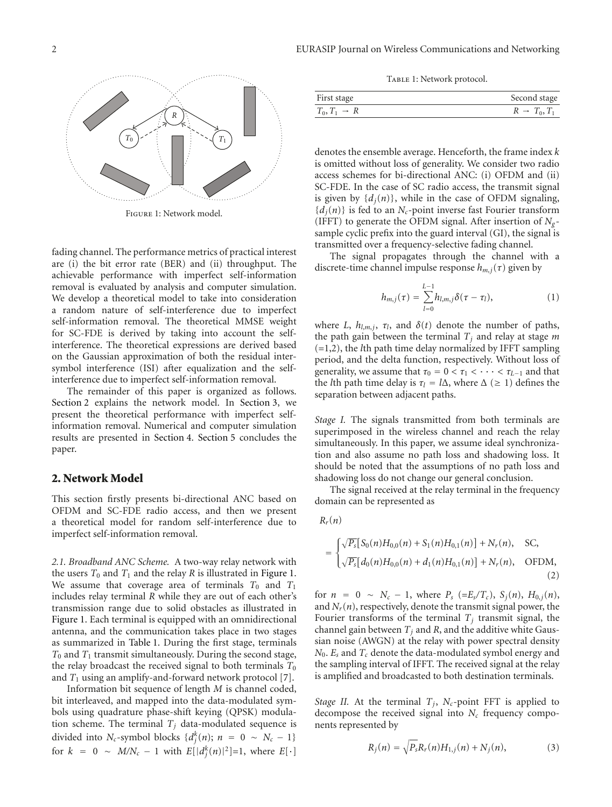

Figure 1: Network model.

fading channel. The performance metrics of practical interest are (i) the bit error rate (BER) and (ii) throughput. The achievable performance with imperfect self-information removal is evaluated by analysis and computer simulation. We develop a theoretical model to take into consideration a random nature of self-interference due to imperfect self-information removal. The theoretical MMSE weight for SC-FDE is derived by taking into account the selfinterference. The theoretical expressions are derived based on the Gaussian approximation of both the residual intersymbol interference (ISI) after equalization and the selfinterference due to imperfect self-information removal.

The remainder of this paper is organized as follows. Section 2 explains the network model. In Section 3, we present the theoretical performance with imperfect selfinformation removal. Numerical and computer simulation results are presented in Section 4. Section 5 concludes the paper.

#### **2. Network Model**

This section firstly presents bi-directional ANC based on OFDM and SC-FDE radio access, and then we present a theoretical model for random self-interference due to imperfect self-information removal.

*2.1. Broadband ANC Scheme.* A two-way relay network with the users  $T_0$  and  $T_1$  and the relay  $R$  is illustrated in Figure 1. We assume that coverage area of terminals  $T_0$  and  $T_1$ includes relay terminal *R* while they are out of each other's transmission range due to solid obstacles as illustrated in Figure 1. Each terminal is equipped with an omnidirectional antenna, and the communication takes place in two stages as summarized in Table 1. During the first stage, terminals *T*<sup>0</sup> and *T*<sup>1</sup> transmit simultaneously. During the second stage, the relay broadcast the received signal to both terminals  $T_0$ and *T*<sup>1</sup> using an amplify-and-forward network protocol [7].

Information bit sequence of length *M* is channel coded, bit interleaved, and mapped into the data-modulated symbols using quadrature phase-shift keying (QPSK) modulation scheme. The terminal  $T_j$  data-modulated sequence is divided into *N<sub>c</sub>*-symbol blocks  $\{d_j^k(n); n = 0 \sim N_c - 1\}$ for  $k = 0$  ∼ *M/N<sub>c</sub>* − 1 with  $E[|d_j^k(n)|^2] = 1$ , where  $E[·]$ 

Table 1: Network protocol.

| First stage              | Second stage             |
|--------------------------|--------------------------|
| $T_0, T_1 \rightarrow R$ | $R \rightarrow T_0, T_1$ |

denotes the ensemble average. Henceforth, the frame index *k* is omitted without loss of generality. We consider two radio access schemes for bi-directional ANC: (i) OFDM and (ii) SC-FDE. In the case of SC radio access, the transmit signal is given by  $\{d_i(n)\}\$ , while in the case of OFDM signaling,  ${d_i(n)}$  is fed to an *N<sub>c</sub>*-point inverse fast Fourier transform (IFFT) to generate the OFDM signal. After insertion of  $N_{\varphi}$ sample cyclic prefix into the guard interval (GI), the signal is transmitted over a frequency-selective fading channel.

The signal propagates through the channel with a discrete-time channel impulse response  $h_{m,j}(\tau)$  given by

$$
h_{m,j}(\tau) = \sum_{l=0}^{L-1} h_{l,m,j} \delta(\tau - \tau_l),
$$
 (1)

where *L*,  $h_{l,m,j}$ ,  $\tau_l$ , and  $\delta(t)$  denote the number of paths, the path gain between the terminal *T<sup>j</sup>* and relay at stage *m* (=1,2), the *l*th path time delay normalized by IFFT sampling period, and the delta function, respectively. Without loss of generality, we assume that  $\tau_0 = 0 < \tau_1 < \cdots < \tau_{L-1}$  and that the *l*th path time delay is  $\tau_l = l\Delta$ , where  $\Delta$  ( $\geq$  1) defines the separation between adjacent paths.

*Stage I.* The signals transmitted from both terminals are superimposed in the wireless channel and reach the relay simultaneously. In this paper, we assume ideal synchronization and also assume no path loss and shadowing loss. It should be noted that the assumptions of no path loss and shadowing loss do not change our general conclusion.

The signal received at the relay terminal in the frequency domain can be represented as

$$
R_r(n)
$$

$$
= \begin{cases} \sqrt{P_s} [S_0(n)H_{0,0}(n) + S_1(n)H_{0,1}(n)] + N_r(n), & SC, \\ \sqrt{P_s} [d_0(n)H_{0,0}(n) + d_1(n)H_{0,1}(n)] + N_r(n), & OFDM, \end{cases}
$$
(2)

for  $n = 0 \sim N_c - 1$ , where  $P_s$  (= $E_s/T_c$ ),  $S_i(n)$ ,  $H_{0,i}(n)$ , and  $N_r(n)$ , respectively, denote the transmit signal power, the Fourier transforms of the terminal  $T_j$  transmit signal, the channel gain between  $T_j$  and  $R$ , and the additive white Gaussian noise (AWGN) at the relay with power spectral density *N*0. *Es* and *T<sup>c</sup>* denote the data-modulated symbol energy and the sampling interval of IFFT. The received signal at the relay is amplified and broadcasted to both destination terminals.

*Stage II.* At the terminal  $T_j$ ,  $N_c$ -point FFT is applied to decompose the received signal into  $N_c$  frequency components represented by

$$
R_j(n) = \sqrt{P_s} R_r(n) H_{1,j}(n) + N_j(n), \tag{3}
$$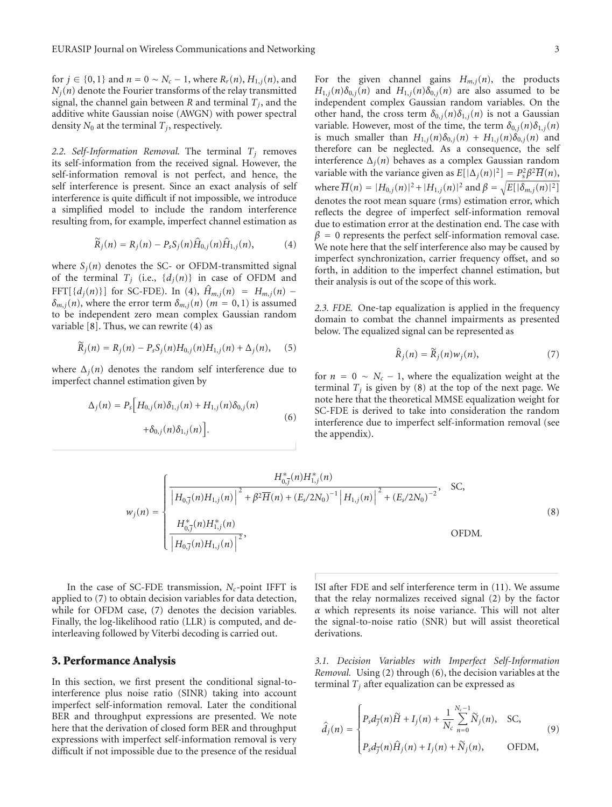for *j* ∈ {0, 1} and *n* = 0 ∼ *N<sub>c</sub>* − 1, where *R<sub>r</sub>*(*n*), *H*<sub>1,*j*</sub>(*n*), and  $N_i(n)$  denote the Fourier transforms of the relay transmitted signal, the channel gain between *R* and terminal *Tj*, and the additive white Gaussian noise (AWGN) with power spectral density  $N_0$  at the terminal  $T_i$ , respectively.

*2.2. Self-Information Removal.* The terminal *T<sup>j</sup>* removes its self-information from the received signal. However, the self-information removal is not perfect, and hence, the self interference is present. Since an exact analysis of self interference is quite difficult if not impossible, we introduce a simplified model to include the random interference resulting from, for example, imperfect channel estimation as

$$
\widetilde{R}_j(n) = R_j(n) - P_s S_j(n) \hat{H}_{0,j}(n) \hat{H}_{1,j}(n), \tag{4}
$$

where  $S_i(n)$  denotes the SC- or OFDM-transmitted signal of the terminal  $T_j$  (i.e.,  $\{d_j(n)\}\$ in case of OFDM and FFT[{ $d_j(n)$ }] for SC-FDE). In (4),  $\hat{H}_{m,j}(n) = H_{m,j}(n)$  –  $\delta_{m,i}(n)$ , where the error term  $\delta_{m,i}(n)$  (*m* = 0, 1) is assumed to be independent zero mean complex Gaussian random variable [8]. Thus, we can rewrite (4) as

$$
\widetilde{R}_j(n) = R_j(n) - P_s S_j(n) H_{0,j}(n) H_{1,j}(n) + \Delta_j(n), \quad (5)
$$

where  $\Delta_j(n)$  denotes the random self interference due to imperfect channel estimation given by

$$
\Delta_j(n) = P_s \Big[ H_{0,j}(n) \delta_{1,j}(n) + H_{1,j}(n) \delta_{0,j}(n) + \delta_{0,j}(n) \delta_{1,j}(n) \Big].
$$
\n(6)

For the given channel gains  $H_{m,j}(n)$ , the products  $H_{1,j}(n) \delta_{0,j}(n)$  and  $H_{1,j}(n) \delta_{0,j}(n)$  are also assumed to be independent complex Gaussian random variables. On the other hand, the cross term  $\delta_{0,j}(n)\delta_{1,j}(n)$  is not a Gaussian variable. However, most of the time, the term  $\delta_{0,i}(n)\delta_{1,i}(n)$ is much smaller than  $H_{1,j}(n)\delta_{0,j}(n) + H_{1,j}(n)\delta_{0,j}(n)$  and therefore can be neglected. As a consequence, the self interference  $\Delta_i(n)$  behaves as a complex Gaussian random variable with the variance given as  $E[|\Delta_j(n)|^2] = P_s^2 \beta^2 \overline{H}(n)$ ,  $\text{where } \overline{H}(n) = |H_{0,j}(n)|^2 + |H_{1,j}(n)|^2 \text{ and } \beta = \sqrt{E[|\delta_{m,j}(n)|^2]}$ denotes the root mean square (rms) estimation error, which reflects the degree of imperfect self-information removal due to estimation error at the destination end. The case with  $\beta = 0$  represents the perfect self-information removal case. We note here that the self interference also may be caused by imperfect synchronization, carrier frequency offset, and so forth, in addition to the imperfect channel estimation, but their analysis is out of the scope of this work.

*2.3. FDE.* One-tap equalization is applied in the frequency domain to combat the channel impairments as presented below. The equalized signal can be represented as

$$
\widehat{R}_j(n) = \widetilde{R}_j(n) w_j(n), \tag{7}
$$

for  $n = 0 \sim N_c - 1$ , where the equalization weight at the terminal  $T_j$  is given by (8) at the top of the next page. We note here that the theoretical MMSE equalization weight for SC-FDE is derived to take into consideration the random interference due to imperfect self-information removal (see the appendix).

$$
w_{j}(n) = \begin{cases} \frac{H_{0,\overline{j}}^{*}(n)H_{1,j}^{*}(n)}{\left|H_{0,\overline{j}}(n)H_{1,j}(n)\right|^{2} + \beta^{2}\overline{H}(n) + (E_{s}/2N_{0})^{-1}\left|H_{1,j}(n)\right|^{2} + (E_{s}/2N_{0})^{-2}}, & \text{SC},\\ \frac{H_{0,\overline{j}}^{*}(n)H_{1,j}^{*}(n)}{\left|H_{0,\overline{j}}(n)H_{1,j}(n)\right|^{2}}, & \text{OFDM}.\end{cases}
$$
(8)

In the case of SC-FDE transmission,  $N_c$ -point IFFT is applied to (7) to obtain decision variables for data detection, while for OFDM case, (7) denotes the decision variables. Finally, the log-likelihood ratio (LLR) is computed, and deinterleaving followed by Viterbi decoding is carried out.

#### **3. Performance Analysis**

In this section, we first present the conditional signal-tointerference plus noise ratio (SINR) taking into account imperfect self-information removal. Later the conditional BER and throughput expressions are presented. We note here that the derivation of closed form BER and throughput expressions with imperfect self-information removal is very difficult if not impossible due to the presence of the residual ISI after FDE and self interference term in (11). We assume that the relay normalizes received signal (2) by the factor *α* which represents its noise variance. This will not alter the signal-to-noise ratio (SNR) but will assist theoretical derivations.

*3.1. Decision Variables with Imperfect Self-Information Removal.* Using (2) through (6), the decision variables at the terminal  $T_j$  after equalization can be expressed as

$$
\hat{d}_j(n) = \begin{cases} P_s d_{\overline{j}}(n) \widetilde{H} + I_j(n) + \frac{1}{N_c} \sum_{n=0}^{N_c - 1} \widetilde{N}_j(n), & \text{SC}, \\ P_s d_{\overline{j}}(n) \widehat{H}_j(n) + I_j(n) + \widetilde{N}_j(n), & \text{OFDM}, \end{cases}
$$
(9)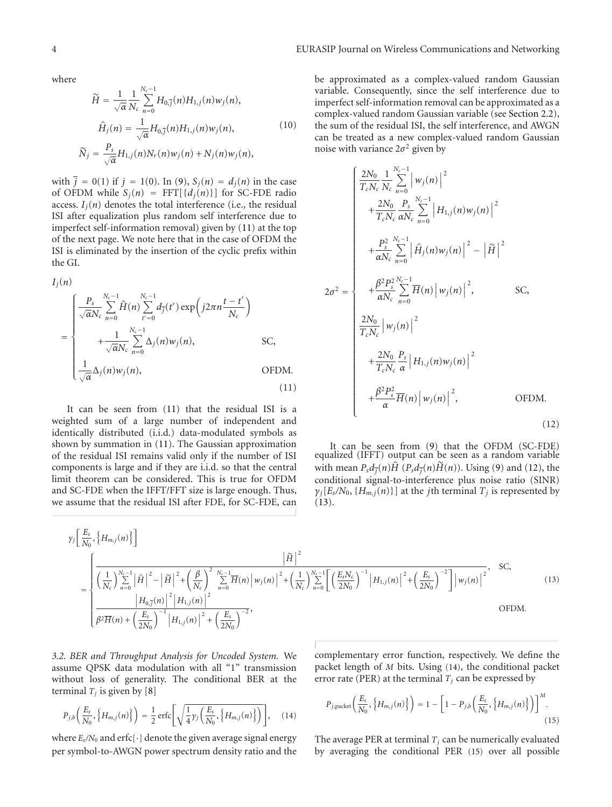where

$$
\widetilde{H} = \frac{1}{\sqrt{\alpha}} \frac{1}{N_c} \sum_{n=0}^{N_c - 1} H_{0,\overline{j}}(n) H_{1,j}(n) w_j(n),
$$
  
\n
$$
\widehat{H}_j(n) = \frac{1}{\sqrt{\alpha}} H_{0,\overline{j}}(n) H_{1,j}(n) w_j(n),
$$
  
\n
$$
\widetilde{N}_j = \frac{P_s}{\sqrt{\alpha}} H_{1,j}(n) N_r(n) w_j(n) + N_j(n) w_j(n),
$$
\n(10)

with  $\bar{j} = 0(1)$  if  $j = 1(0)$ . In (9),  $S_i(n) = d_i(n)$  in the case of OFDM while  $S_i(n)$  = FFT[ $\{d_i(n)\}$ ] for SC-FDE radio access.  $I_i(n)$  denotes the total interference (i.e., the residual ISI after equalization plus random self interference due to imperfect self-information removal) given by (11) at the top of the next page. We note here that in the case of OFDM the ISI is eliminated by the insertion of the cyclic prefix within the GI.

$$
I_j(n)
$$
\n
$$
= \begin{cases}\n\frac{P_s}{\sqrt{\alpha}N_c} \sum_{n=0}^{N_c-1} \hat{H}(n) \sum_{t'=0}^{N_c-1} d_{\overline{j}}(t') \exp\left(j2\pi n \frac{t-t'}{N_c}\right) \\
+ \frac{1}{\sqrt{\alpha}N_c} \sum_{n=0}^{N_c-1} \Delta_j(n) w_j(n),\n\end{cases} \text{SC},
$$
\n
$$
\frac{1}{\sqrt{\alpha}} \Delta_j(n) w_j(n), \text{OPDM}.
$$
\n(11)

It can be seen from (11) that the residual ISI is a weighted sum of a large number of independent and identically distributed (i.i.d.) data-modulated symbols as shown by summation in (11). The Gaussian approximation of the residual ISI remains valid only if the number of ISI components is large and if they are i.i.d. so that the central limit theorem can be considered. This is true for OFDM and SC-FDE when the IFFT/FFT size is large enough. Thus, we assume that the residual ISI after FDE, for SC-FDE, can

 $\sim$   $\sim$   $\sim$   $\sim$ 

be approximated as a complex-valued random Gaussian variable. Consequently, since the self interference due to imperfect self-information removal can be approximated as a complex-valued random Gaussian variable (see Section 2.2), the sum of the residual ISI, the self interference, and AWGN can be treated as a new complex-valued random Gaussian noise with variance  $2\sigma^2$  given by

$$
2\sigma^{2} = \begin{cases}\n\frac{2N_{0}}{T_{c}N_{c}} \frac{1}{N_{c}} \sum_{n=0}^{N_{c}-1} |w_{j}(n)|^{2} \\
+ \frac{2N_{0}}{T_{c}N_{c}} \frac{P_{s}}{\alpha N_{c}} \sum_{n=0}^{N_{c}-1} |H_{1,j}(n)w_{j}(n)|^{2} \\
+ \frac{P_{s}^{2}}{\alpha N_{c}} \sum_{n=0}^{N_{c}-1} |\hat{H}_{j}(n)w_{j}(n)|^{2} - |\tilde{H}|^{2} \\
2\sigma^{2} = \begin{cases}\n+\frac{\beta^{2} P_{s}^{2}}{\alpha N_{c}} \sum_{n=0}^{N_{c}-1} \overline{H}(n) |w_{j}(n)|^{2}, & \text{SC}, \\
\frac{2N_{0}}{T_{c}N_{c}} |w_{j}(n)|^{2} \\
+ \frac{2N_{0}}{T_{c}N_{c}} \frac{P_{s}}{\alpha} |H_{1,j}(n)w_{j}(n)|^{2} \\
+ \frac{\beta^{2} P_{s}^{2}}{\alpha} \overline{H}(n) |w_{j}(n)|^{2}, & \text{OFDM.} \n\end{cases}\n\end{cases}
$$
\n(12)

It can be seen from (9) that the OFDM (SC-FDE) equalized (IFFT) output can be seen as a random variable with mean  $P_s d_{\overline{j}}(n)H(P_s d_{\overline{j}}(n)H(n))$ . Using (9) and (12), the conditional signal-to-interference plus noise ratio (SINR)  $\gamma_i[E_s/N_0, \{H_{m,i}(n)\}]$  at the *j*th terminal  $T_i$  is represented by (13).

$$
\gamma_{j}\left[\frac{E_{s}}{N_{0}},\left\{H_{m,j}(n)\right\}\right]
$$
\n
$$
=\begin{cases}\n\frac{\left|\tilde{H}\right|^{2}}{\left(\frac{1}{N_{c}}\right)^{N_{c}-1} \left|\tilde{H}\right|^{2}-\left|\tilde{H}\right|^{2}+\left(\frac{\beta}{N_{c}}\right)^{2}\sum_{n=0}^{N_{c}-1} \overline{H}(n)\left|w_{j}(n)\right|^{2}+\left(\frac{1}{N_{c}}\right)^{N_{c}-1} \left[\left(\frac{E_{s}N_{c}}{2N_{0}}\right)^{-1}\left|H_{1,j}(n)\right|^{2}+\left(\frac{E_{s}}{2N_{0}}\right)^{-2}\right]\left|w_{j}(n)\right|^{2}}^{2}, & \text{SC}, \\
\frac{\left|H_{0,\overline{j}}(n)\right|^{2}\left|H_{1,j}(n)\right|^{2}}{\beta^{2}\overline{H}(n)+\left(\frac{E_{s}}{2N_{0}}\right)^{-1}\left|H_{1,j}(n)\right|^{2}+\left(\frac{E_{s}}{2N_{0}}\right)^{-2}}, & \text{OFDM}.\n\end{cases}
$$
\n(13)

*3.2. BER and Throughput Analysis for Uncoded System.* We assume QPSK data modulation with all "1" transmission without loss of generality. The conditional BER at the terminal  $T_i$  is given by [8]

$$
P_{j,b}\left(\frac{E_s}{N_0}, \left\{H_{m,j}(n)\right\}\right) = \frac{1}{2} \operatorname{erfc}\left[\sqrt{\frac{1}{4}\gamma_j\left(\frac{E_s}{N_0}, \left\{H_{m,j}(n)\right\}\right)}\right], \quad (14)
$$

where  $E_s/N_0$  and erfc[ $\cdot$ ] denote the given average signal energy per symbol-to-AWGN power spectrum density ratio and the complementary error function, respectively. We define the packet length of *M* bits. Using (14), the conditional packet error rate (PER) at the terminal  $T_j$  can be expressed by

$$
P_{j, \text{packet}}\bigg(\frac{E_s}{N_0}, \Big\{H_{m,j}(n)\Big\}\bigg) = 1 - \bigg[1 - P_{j,b}\bigg(\frac{E_s}{N_0}, \Big\{H_{m,j}(n)\Big\}\bigg)\bigg]^M. \tag{15}
$$

The average PER at terminal *T<sup>j</sup>* can be numerically evaluated by averaging the conditional PER (15) over all possible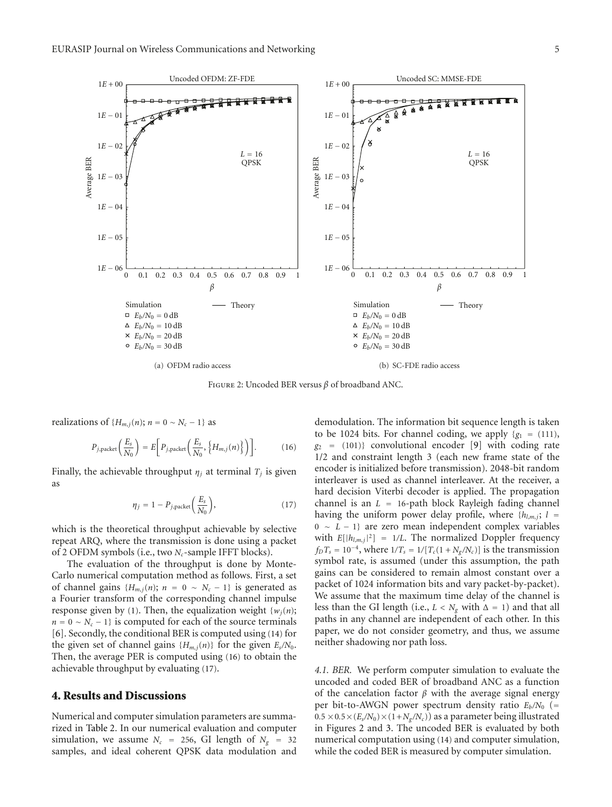

Figure 2: Uncoded BER versus *β* of broadband ANC.

realizations of  ${H_{m,i}(n); n = 0 ~ \sim N_c - 1}$  as

$$
P_{j,\text{packet}}\left(\frac{E_s}{N_0}\right) = E\bigg[P_{j,\text{packet}}\bigg(\frac{E_s}{N_0}, \bigg\{H_{m,j}(n)\bigg\}\bigg)\bigg].\tag{16}
$$

Finally, the achievable throughput  $\eta_i$  at terminal  $T_i$  is given as

$$
\eta_j = 1 - P_{j, \text{packet}} \left( \frac{E_s}{N_0} \right),\tag{17}
$$

which is the theoretical throughput achievable by selective repeat ARQ, where the transmission is done using a packet of 2 OFDM symbols (i.e., two *Nc*-sample IFFT blocks).

The evaluation of the throughput is done by Monte-Carlo numerical computation method as follows. First, a set of channel gains  ${H_{m,j}(n)}$ ;  $n = 0 \sim N_c - 1}$  is generated as a Fourier transform of the corresponding channel impulse response given by (1). Then, the equalization weight  ${w_i(n)}$ ;  $n = 0 \sim N_c - 1$ } is computed for each of the source terminals [6]. Secondly, the conditional BER is computed using (14) for the given set of channel gains  ${H_{m,j}(n)}$  for the given  $E_s/N_0$ . Then, the average PER is computed using (16) to obtain the achievable throughput by evaluating (17).

### **4. Results and Discussions**

Numerical and computer simulation parameters are summarized in Table 2. In our numerical evaluation and computer simulation, we assume  $N_c$  = 256, GI length of  $N_g$  = 32 samples, and ideal coherent QPSK data modulation and demodulation. The information bit sequence length is taken to be 1024 bits. For channel coding, we apply  ${g_1 = (111)}$ ,  $g_2$  = (101)} convolutional encoder [9] with coding rate 1/2 and constraint length 3 (each new frame state of the encoder is initialized before transmission). 2048-bit random interleaver is used as channel interleaver. At the receiver, a hard decision Viterbi decoder is applied. The propagation channel is an *L* <sup>=</sup> 16-path block Rayleigh fading channel having the uniform power delay profile, where  $\{h_{l,m,j}; l =$ 0 <sup>∼</sup> *L* <sup>−</sup> 1} are zero mean independent complex variables with  $E[|h_{l,m,j}|^2] = 1/L$ . The normalized Doppler frequency  $f_D T_s = 10^{-4}$ , where  $1/T_s = 1/[T_c(1 + N_g/N_c)]$  is the transmission symbol rate, is assumed (under this assumption, the path gains can be considered to remain almost constant over a packet of 1024 information bits and vary packet-by-packet). We assume that the maximum time delay of the channel is less than the GI length (i.e.,  $L < N_g$  with  $\Delta = 1$ ) and that all paths in any channel are independent of each other. In this paper, we do not consider geometry, and thus, we assume neither shadowing nor path loss.

*4.1. BER.* We perform computer simulation to evaluate the uncoded and coded BER of broadband ANC as a function of the cancelation factor *β* with the average signal energy per bit-to-AWGN power spectrum density ratio  $E_b/N_0$  (=  $0.5 \times 0.5 \times (E_s/N_0) \times (1+N_g/N_c)$  as a parameter being illustrated in Figures 2 and 3. The uncoded BER is evaluated by both numerical computation using (14) and computer simulation, while the coded BER is measured by computer simulation.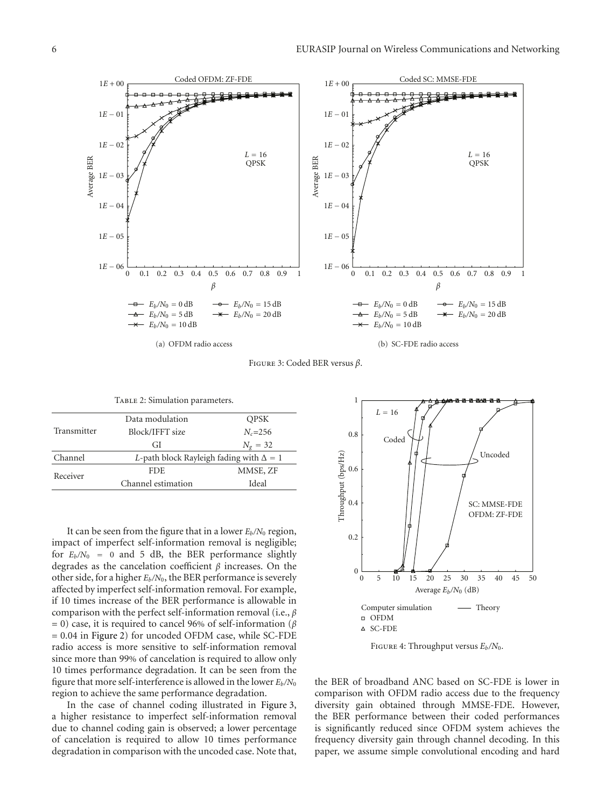Coded OFDM: ZF-FDE Coded SC: MMSE-FDE 1*E* + 00  $1E + 00$  $1E - 01$  $1E - 01$ 1*E −* 02 1*E −* 02  $L = 16$  $L = 16$ Average BER Average BER Average BER Average BER QPSK QPSK  $1E - 03$ 1*E −* 03 1*E −* 04 1*E −* 04 1*E −* 05 1*E −* 05  $1E - 06\frac{L}{0}$  $1E - 06$ 0 0.1 0.2 0.3 0.4 0.5 0.6 0.7 0.8 0.9 1 0 0.1 0.2 0.3 0.4 0.5 0.6 0.7 0.8 0.9 1 *β β*  $-\theta$  *E<sub>b</sub>*/N<sub>0</sub> = 0 dB  $E_b/N_0 = 15$  dB  $-\theta - E_b/N_0 = 0$  dB  $-E_b/N_0 = 15$  dB  $E_b/N_0 = 5$  dB  $E_b/N_0 = 20$  dB  $-E_b/N_0 = 5$  dB  $E_b/N_0 = 20$  dB  $\star$  *E<sub>b</sub>*/N<sub>0</sub> = 10 dB  $-E_b/N_0 = 10$  dB (b) SC-FDE radio access (a) OFDM radio access

Figure 3: Coded BER versus *β*.

| Transmitter | Data modulation                                | <b>OPSK</b>      |
|-------------|------------------------------------------------|------------------|
|             | Block/IFFT size                                | $N_c = 256$      |
|             | GI                                             | $N_{\rm e} = 32$ |
| Channel     | L-path block Rayleigh fading with $\Delta = 1$ |                  |
| Receiver    | FDE.                                           | MMSE, ZF         |
|             | Channel estimation                             | Ideal            |
|             |                                                |                  |

TABLE 2: Simulation parameters.

It can be seen from the figure that in a lower  $E_b/N_0$  region, impact of imperfect self-information removal is negligible; for  $E_b/N_0 = 0$  and 5 dB, the BER performance slightly degrades as the cancelation coefficient *β* increases. On the other side, for a higher  $E_b/N_0$ , the BER performance is severely affected by imperfect self-information removal. For example, if 10 times increase of the BER performance is allowable in comparison with the perfect self-information removal (i.e., *β* = 0) case, it is required to cancel 96% of self-information (*β* = 0.04 in Figure 2) for uncoded OFDM case, while SC-FDE radio access is more sensitive to self-information removal since more than 99% of cancelation is required to allow only 10 times performance degradation. It can be seen from the figure that more self-interference is allowed in the lower  $E_b/N_0$ region to achieve the same performance degradation.

In the case of channel coding illustrated in Figure 3, a higher resistance to imperfect self-information removal due to channel coding gain is observed; a lower percentage of cancelation is required to allow 10 times performance degradation in comparison with the uncoded case. Note that,



FIGURE 4: Throughput versus  $E_b/N_0$ .

the BER of broadband ANC based on SC-FDE is lower in comparison with OFDM radio access due to the frequency diversity gain obtained through MMSE-FDE. However, the BER performance between their coded performances is significantly reduced since OFDM system achieves the frequency diversity gain through channel decoding. In this paper, we assume simple convolutional encoding and hard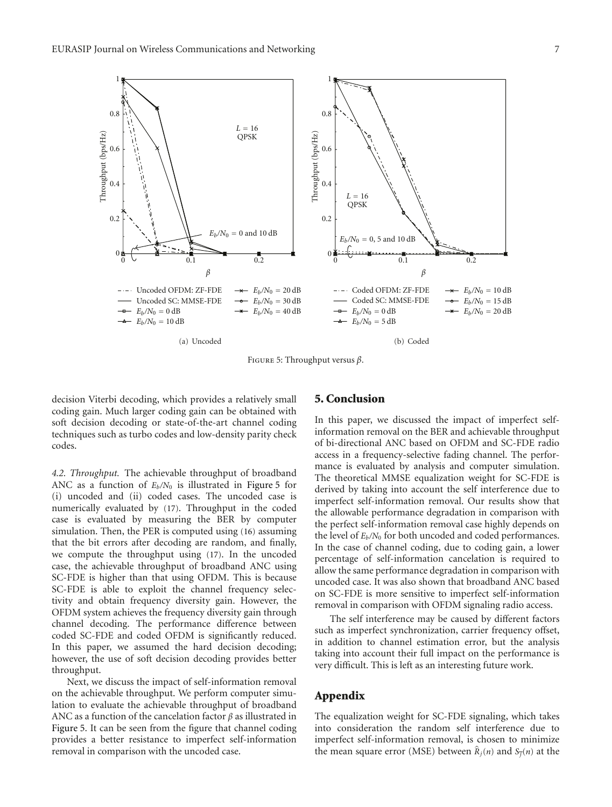

Figure 5: Throughput versus *β*.

decision Viterbi decoding, which provides a relatively small coding gain. Much larger coding gain can be obtained with soft decision decoding or state-of-the-art channel coding techniques such as turbo codes and low-density parity check codes.

*4.2. Throughput.* The achievable throughput of broadband ANC as a function of  $E_b/N_0$  is illustrated in Figure 5 for (i) uncoded and (ii) coded cases. The uncoded case is numerically evaluated by (17). Throughput in the coded case is evaluated by measuring the BER by computer simulation. Then, the PER is computed using (16) assuming that the bit errors after decoding are random, and finally, we compute the throughput using (17). In the uncoded case, the achievable throughput of broadband ANC using SC-FDE is higher than that using OFDM. This is because SC-FDE is able to exploit the channel frequency selectivity and obtain frequency diversity gain. However, the OFDM system achieves the frequency diversity gain through channel decoding. The performance difference between coded SC-FDE and coded OFDM is significantly reduced. In this paper, we assumed the hard decision decoding; however, the use of soft decision decoding provides better throughput.

Next, we discuss the impact of self-information removal on the achievable throughput. We perform computer simulation to evaluate the achievable throughput of broadband ANC as a function of the cancelation factor *β* as illustrated in Figure 5. It can be seen from the figure that channel coding provides a better resistance to imperfect self-information removal in comparison with the uncoded case.

#### **5. Conclusion**

In this paper, we discussed the impact of imperfect selfinformation removal on the BER and achievable throughput of bi-directional ANC based on OFDM and SC-FDE radio access in a frequency-selective fading channel. The performance is evaluated by analysis and computer simulation. The theoretical MMSE equalization weight for SC-FDE is derived by taking into account the self interference due to imperfect self-information removal. Our results show that the allowable performance degradation in comparison with the perfect self-information removal case highly depends on the level of  $E_b/N_0$  for both uncoded and coded performances. In the case of channel coding, due to coding gain, a lower percentage of self-information cancelation is required to allow the same performance degradation in comparison with uncoded case. It was also shown that broadband ANC based on SC-FDE is more sensitive to imperfect self-information removal in comparison with OFDM signaling radio access.

The self interference may be caused by different factors such as imperfect synchronization, carrier frequency offset, in addition to channel estimation error, but the analysis taking into account their full impact on the performance is very difficult. This is left as an interesting future work.

## **Appendix**

The equalization weight for SC-FDE signaling, which takes into consideration the random self interference due to imperfect self-information removal, is chosen to minimize the mean square error (MSE) between  $\hat{R}_i(n)$  and  $S_{\bar{i}}(n)$  at the